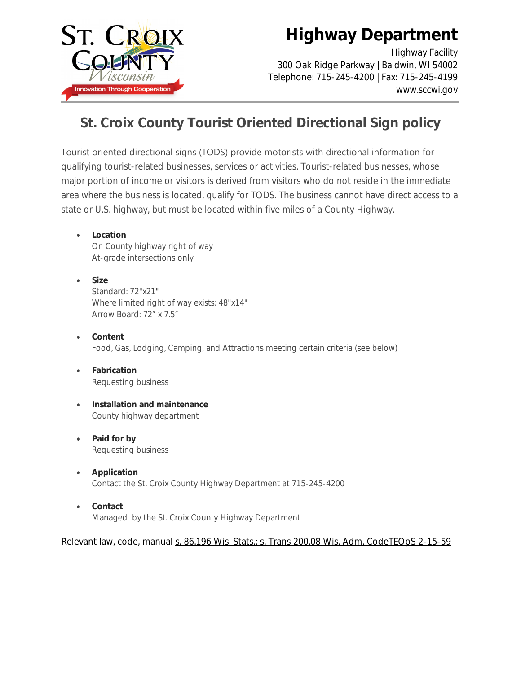

# **Highway Department**

Highway Facility 300 Oak Ridge Parkway | Baldwin, WI 54002 Telephone: 715-245-4200 | Fax: 715-245-4199 www.sccwi.gov

#### **St. Croix County Tourist Oriented Directional Sign policy**

Tourist oriented directional signs (TODS) provide motorists with directional information for qualifying tourist-related businesses, services or activities. Tourist-related businesses, whose major portion of income or visitors is derived from visitors who do not reside in the immediate area where the business is located, qualify for TODS. The business cannot have direct access to a state or U.S. highway, but must be located within five miles of a County Highway.

- **Location** On County highway right of way At-grade intersections only
- **Size**  Standard: 72"x21" Where limited right of way exists: 48"x14" Arrow Board: 72" x 7.5"
- **Content** Food, Gas, Lodging, Camping, and Attractions meeting certain criteria (see below)
- **Fabrication** Requesting business
- **Installation and maintenance** County highway department
- **Paid for by** Requesting business
- **Application** Contact the St. Croix County Highway Department at 715-245-4200
- **Contact** Managed by the St. Croix County Highway Department

Relevant law, code, manual [s. 86.196 Wis. Stats.;](http://docs.legis.wisconsin.gov/statutes/statutes/86/196) [s. Trans 200.08 Wis. Adm. Code](http://docs.legis.wisconsin.gov/code/admin_code/trans/200/08)[TEOpS 2-15-59](http://wisconsindot.gov/dtsdManuals/traffic-ops/manuals-and-standards/teops/02-15.pdf)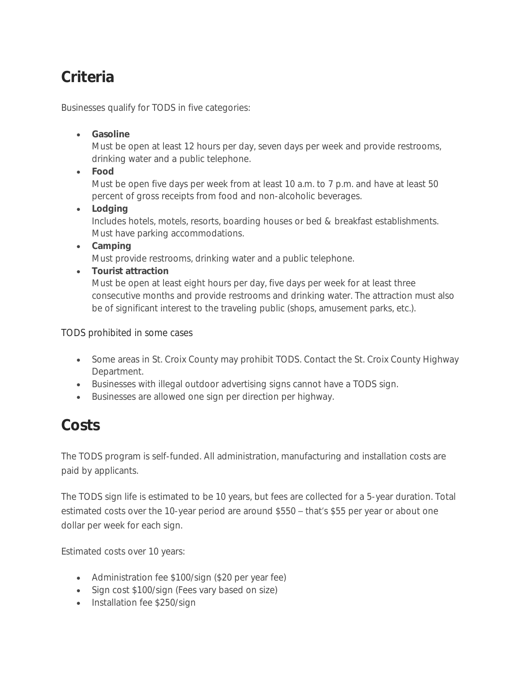# **Criteria**

Businesses qualify for TODS in five categories:

**Gasoline**

Must be open at least 12 hours per day, seven days per week and provide restrooms, drinking water and a public telephone.

**Food**

Must be open five days per week from at least 10 a.m. to 7 p.m. and have at least 50 percent of gross receipts from food and non-alcoholic beverages.

**Lodging**

Includes hotels, motels, resorts, boarding houses or bed & breakfast establishments. Must have parking accommodations.

**Camping**

Must provide restrooms, drinking water and a public telephone.

**Tourist attraction**

Must be open at least eight hours per day, five days per week for at least three consecutive months and provide restrooms and drinking water. The attraction must also be of significant interest to the traveling public (shops, amusement parks, etc.).

TODS prohibited in some cases

- Some areas in St. Croix County may prohibit TODS. Contact the St. Croix County Highway Department.
- Businesses with illegal outdoor advertising signs cannot have a TODS sign.
- Businesses are allowed one sign per direction per highway.

## **Costs**

The TODS program is self-funded. All administration, manufacturing and installation costs are paid by applicants.

The TODS sign life is estimated to be 10 years, but fees are collected for a 5-year duration. Total estimated costs over the 10-year period are around \$550 – that's \$55 per year or about one dollar per week for each sign.

Estimated costs over 10 years:

- Administration fee \$100/sign (\$20 per year fee)
- Sign cost \$100/sign (Fees vary based on size)
- Installation fee \$250/sign